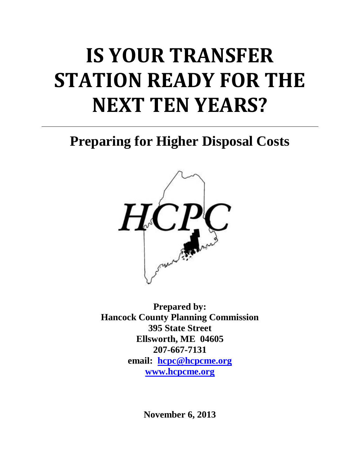# **IS YOUR TRANSFER STATION READY FOR THE NEXT TEN YEARS?**

**Preparing for Higher Disposal Costs**



**Prepared by: Hancock County Planning Commission 395 State Street Ellsworth, ME 04605 207-667-7131 email: [hcpc@hcpcme.org](mailto:hcpc@hcpcme.org) [www.hcpcme.org](http://www.hcpcme.org/)**

**November 6, 2013**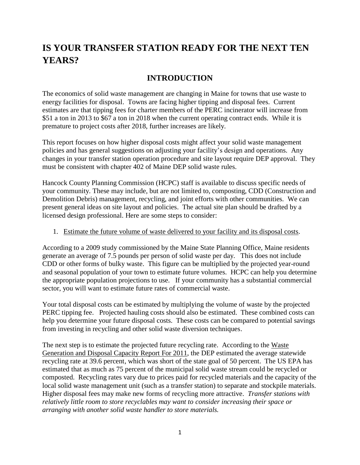## **IS YOUR TRANSFER STATION READY FOR THE NEXT TEN YEARS?**

### **INTRODUCTION**

The economics of solid waste management are changing in Maine for towns that use waste to energy facilities for disposal. Towns are facing higher tipping and disposal fees. Current estimates are that tipping fees for charter members of the PERC incinerator will increase from \$51 a ton in 2013 to \$67 a ton in 2018 when the current operating contract ends. While it is premature to project costs after 2018, further increases are likely.

This report focuses on how higher disposal costs might affect your solid waste management policies and has general suggestions on adjusting your facility's design and operations. Any changes in your transfer station operation procedure and site layout require DEP approval. They must be consistent with chapter 402 of Maine DEP solid waste rules.

Hancock County Planning Commission (HCPC) staff is available to discuss specific needs of your community. These may include, but are not limited to, composting, CDD (Construction and Demolition Debris) management, recycling, and joint efforts with other communities. We can present general ideas on site layout and policies. The actual site plan should be drafted by a licensed design professional. Here are some steps to consider:

#### 1. Estimate the future volume of waste delivered to your facility and its disposal costs.

According to a 2009 study commissioned by the Maine State Planning Office, Maine residents generate an average of 7.5 pounds per person of solid waste per day. This does not include CDD or other forms of bulky waste. This figure can be multiplied by the projected year-round and seasonal population of your town to estimate future volumes. HCPC can help you determine the appropriate population projections to use. If your community has a substantial commercial sector, you will want to estimate future rates of commercial waste.

Your total disposal costs can be estimated by multiplying the volume of waste by the projected PERC tipping fee. Projected hauling costs should also be estimated. These combined costs can help you determine your future disposal costs. These costs can be compared to potential savings from investing in recycling and other solid waste diversion techniques.

The next step is to estimate the projected future recycling rate. According to the Waste Generation and Disposal Capacity Report For 2011, the DEP estimated the average statewide recycling rate at 39.6 percent, which was short of the state goal of 50 percent. The US EPA has estimated that as much as 75 percent of the municipal solid waste stream could be recycled or composted. Recycling rates vary due to prices paid for recycled materials and the capacity of the local solid waste management unit (such as a transfer station) to separate and stockpile materials. Higher disposal fees may make new forms of recycling more attractive. *Transfer stations with relatively little room to store recyclables may want to consider increasing their space or arranging with another solid waste handler to store materials.*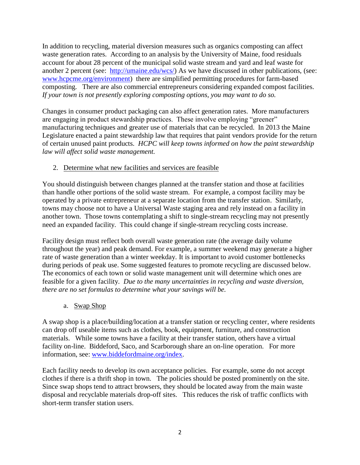In addition to recycling, material diversion measures such as organics composting can affect waste generation rates. According to an analysis by the University of Maine, food residuals account for about 28 percent of the municipal solid waste stream and yard and leaf waste for another 2 percent (see: [http://umaine.edu/wcs/\)](http://umaine.edu/wcs/) As we have discussed in other publications, (see: [www.hcpcme.org/environment\)](http://www.hcpcme.org/environment) there are simplified permitting procedures for farm-based composting. There are also commercial entrepreneurs considering expanded compost facilities. *If your town is not presently exploring composting options, you may want to do so.*

Changes in consumer product packaging can also affect generation rates. More manufacturers are engaging in product stewardship practices. These involve employing "greener" manufacturing techniques and greater use of materials that can be recycled. In 2013 the Maine Legislature enacted a paint stewardship law that requires that paint vendors provide for the return of certain unused paint products. *HCPC will keep towns informed on how the paint stewardship law will affect solid waste management.*

#### 2. Determine what new facilities and services are feasible

You should distinguish between changes planned at the transfer station and those at facilities than handle other portions of the solid waste stream. For example, a compost facility may be operated by a private entrepreneur at a separate location from the transfer station. Similarly, towns may choose not to have a Universal Waste staging area and rely instead on a facility in another town. Those towns contemplating a shift to single-stream recycling may not presently need an expanded facility. This could change if single-stream recycling costs increase.

Facility design must reflect both overall waste generation rate (the average daily volume throughout the year) and peak demand. For example, a summer weekend may generate a higher rate of waste generation than a winter weekday. It is important to avoid customer bottlenecks during periods of peak use. Some suggested features to promote recycling are discussed below. The economics of each town or solid waste management unit will determine which ones are feasible for a given facility. *Due to the many uncertainties in recycling and waste diversion, there are no set formulas to determine what your savings will be.*

a. Swap Shop

A swap shop is a place/building/location at a transfer station or recycling center, where residents can drop off useable items such as clothes, book, equipment, furniture, and construction materials. While some towns have a facility at their transfer station, others have a virtual facility on-line. Biddeford, Saco, and Scarborough share an on-line operation. For more information, see: [www.biddefordmaine.org/index.](http://www.biddefordmaine.org/index)

Each facility needs to develop its own acceptance policies. For example, some do not accept clothes if there is a thrift shop in town. The policies should be posted prominently on the site. Since swap shops tend to attract browsers, they should be located away from the main waste disposal and recyclable materials drop-off sites. This reduces the risk of traffic conflicts with short-term transfer station users.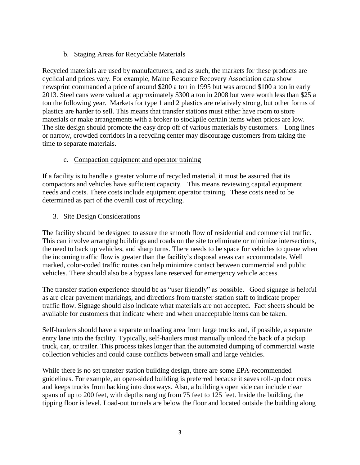#### b. Staging Areas for Recyclable Materials

Recycled materials are used by manufacturers, and as such, the markets for these products are cyclical and prices vary. For example, Maine Resource Recovery Association data show newsprint commanded a price of around \$200 a ton in 1995 but was around \$100 a ton in early 2013. Steel cans were valued at approximately \$300 a ton in 2008 but were worth less than \$25 a ton the following year. Markets for type 1 and 2 plastics are relatively strong, but other forms of plastics are harder to sell. This means that transfer stations must either have room to store materials or make arrangements with a broker to stockpile certain items when prices are low. The site design should promote the easy drop off of various materials by customers. Long lines or narrow, crowded corridors in a recycling center may discourage customers from taking the time to separate materials.

#### c. Compaction equipment and operator training

If a facility is to handle a greater volume of recycled material, it must be assured that its compactors and vehicles have sufficient capacity. This means reviewing capital equipment needs and costs. There costs include equipment operator training. These costs need to be determined as part of the overall cost of recycling.

#### 3. Site Design Considerations

The facility should be designed to assure the smooth flow of residential and commercial traffic. This can involve arranging buildings and roads on the site to eliminate or minimize intersections, the need to back up vehicles, and sharp turns. There needs to be space for vehicles to queue when the incoming traffic flow is greater than the facility's disposal areas can accommodate. Well marked, color-coded traffic routes can help minimize contact between commercial and public vehicles. There should also be a bypass lane reserved for emergency vehicle access.

The transfer station experience should be as "user friendly" as possible. Good signage is helpful as are clear pavement markings, and directions from transfer station staff to indicate proper traffic flow. Signage should also indicate what materials are not accepted. Fact sheets should be available for customers that indicate where and when unacceptable items can be taken.

Self-haulers should have a separate unloading area from large trucks and, if possible, a separate entry lane into the facility. Typically, self-haulers must manually unload the back of a pickup truck, car, or trailer. This process takes longer than the automated dumping of commercial waste collection vehicles and could cause conflicts between small and large vehicles.

While there is no set transfer station building design, there are some EPA-recommended guidelines. For example, an open-sided building is preferred because it saves roll-up door costs and keeps trucks from backing into doorways. Also, a building's open side can include clear spans of up to 200 feet, with depths ranging from 75 feet to 125 feet. Inside the building, the tipping floor is level. Load-out tunnels are below the floor and located outside the building along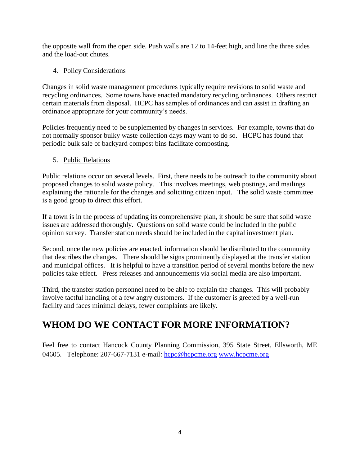the opposite wall from the open side. Push walls are 12 to 14-feet high, and line the three sides and the load-out chutes.

#### 4. Policy Considerations

Changes in solid waste management procedures typically require revisions to solid waste and recycling ordinances. Some towns have enacted mandatory recycling ordinances. Others restrict certain materials from disposal. HCPC has samples of ordinances and can assist in drafting an ordinance appropriate for your community's needs.

Policies frequently need to be supplemented by changes in services. For example, towns that do not normally sponsor bulky waste collection days may want to do so. HCPC has found that periodic bulk sale of backyard compost bins facilitate composting.

#### 5. Public Relations

Public relations occur on several levels. First, there needs to be outreach to the community about proposed changes to solid waste policy. This involves meetings, web postings, and mailings explaining the rationale for the changes and soliciting citizen input. The solid waste committee is a good group to direct this effort.

If a town is in the process of updating its comprehensive plan, it should be sure that solid waste issues are addressed thoroughly. Questions on solid waste could be included in the public opinion survey. Transfer station needs should be included in the capital investment plan.

Second, once the new policies are enacted, information should be distributed to the community that describes the changes. There should be signs prominently displayed at the transfer station and municipal offices. It is helpful to have a transition period of several months before the new policies take effect. Press releases and announcements via social media are also important.

Third, the transfer station personnel need to be able to explain the changes. This will probably involve tactful handling of a few angry customers. If the customer is greeted by a well-run facility and faces minimal delays, fewer complaints are likely.

## **WHOM DO WE CONTACT FOR MORE INFORMATION?**

Feel free to contact Hancock County Planning Commission, 395 State Street, Ellsworth, ME 04605. Telephone: 207-667-7131 e-mail: [hcpc@hcpcme.org](mailto:hcpc@hcpcme.org) [www.hcpcme.org](http://www.hcpcme.org/)